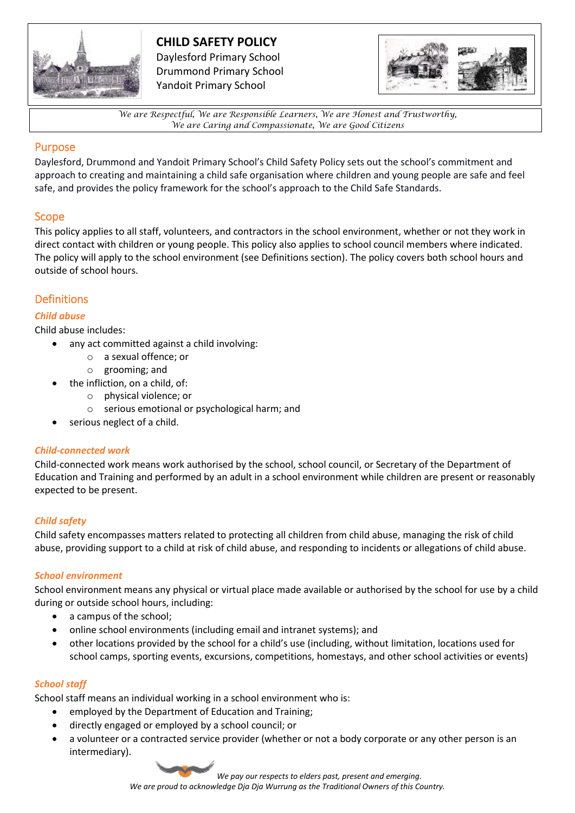

# **CHILD SAFETY POLICY**

Daylesford Primary School Drummond Primary School Yandoit Primary School



*We are Respectful, We are Responsible Learners, We are Honest and Trustworthy, We are Caring and Compassionate, We are Good Citizens*

### Purpose

Daylesford, Drummond and Yandoit Primary School's Child Safety Policy sets out the school's commitment and approach to creating and maintaining a child safe organisation where children and young people are safe and feel safe, and provides the policy framework for the school's approach to the Child Safe Standards.

### Scope

This policy applies to all staff, volunteers, and contractors in the school environment, whether or not they work in direct contact with children or young people. This policy also applies to school council members where indicated. The policy will apply to the school environment (see Definitions section). The policy covers both school hours and outside of school hours.

## **Definitions**

### *Child abuse*

Child abuse includes:

- any act committed against a child involving:
	- o a sexual offence; or
	- o grooming; and
- the infliction, on a child, of:
	- o physical violence; or
	- o serious emotional or psychological harm; and
- serious neglect of a child.

### *Child-connected work*

Child-connected work means work authorised by the school, school council, or Secretary of the Department of Education and Training and performed by an adult in a school environment while children are present or reasonably expected to be present.

### *Child safety*

Child safety encompasses matters related to protecting all children from child abuse, managing the risk of child abuse, providing support to a child at risk of child abuse, and responding to incidents or allegations of child abuse.

### *School environment*

School environment means any physical or virtual place made available or authorised by the school for use by a child during or outside school hours, including:

- a campus of the school;
- online school environments (including email and intranet systems); and
- other locations provided by the school for a child's use (including, without limitation, locations used for school camps, sporting events, excursions, competitions, homestays, and other school activities or events)

### *School staff*

School staff means an individual working in a school environment who is:

- employed by the Department of Education and Training;
- directly engaged or employed by a school council; or
- a volunteer or a contracted service provider (whether or not a body corporate or any other person is an intermediary).

*We pay our respects to elders past, present and emerging.*

*We are proud to acknowledge Dja Dja Wurrung as the Traditional Owners of this Country.*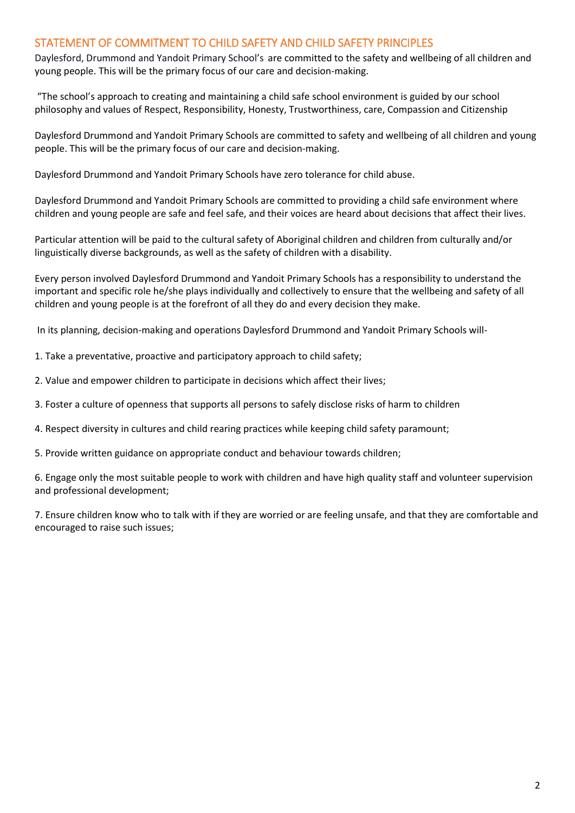### STATEMENT OF COMMITMENT TO CHILD SAFETY AND CHILD SAFETY PRINCIPLES

Daylesford, Drummond and Yandoit Primary School's are committed to the safety and wellbeing of all children and young people. This will be the primary focus of our care and decision-making.

"The school's approach to creating and maintaining a child safe school environment is guided by our school philosophy and values of Respect, Responsibility, Honesty, Trustworthiness, care, Compassion and Citizenship

Daylesford Drummond and Yandoit Primary Schools are committed to safety and wellbeing of all children and young people. This will be the primary focus of our care and decision-making.

Daylesford Drummond and Yandoit Primary Schools have zero tolerance for child abuse.

Daylesford Drummond and Yandoit Primary Schools are committed to providing a child safe environment where children and young people are safe and feel safe, and their voices are heard about decisions that affect their lives.

Particular attention will be paid to the cultural safety of Aboriginal children and children from culturally and/or linguistically diverse backgrounds, as well as the safety of children with a disability.

Every person involved Daylesford Drummond and Yandoit Primary Schools has a responsibility to understand the important and specific role he/she plays individually and collectively to ensure that the wellbeing and safety of all children and young people is at the forefront of all they do and every decision they make.

In its planning, decision-making and operations Daylesford Drummond and Yandoit Primary Schools will-

1. Take a preventative, proactive and participatory approach to child safety;

- 2. Value and empower children to participate in decisions which affect their lives;
- 3. Foster a culture of openness that supports all persons to safely disclose risks of harm to children
- 4. Respect diversity in cultures and child rearing practices while keeping child safety paramount;
- 5. Provide written guidance on appropriate conduct and behaviour towards children;

6. Engage only the most suitable people to work with children and have high quality staff and volunteer supervision and professional development;

7. Ensure children know who to talk with if they are worried or are feeling unsafe, and that they are comfortable and encouraged to raise such issues;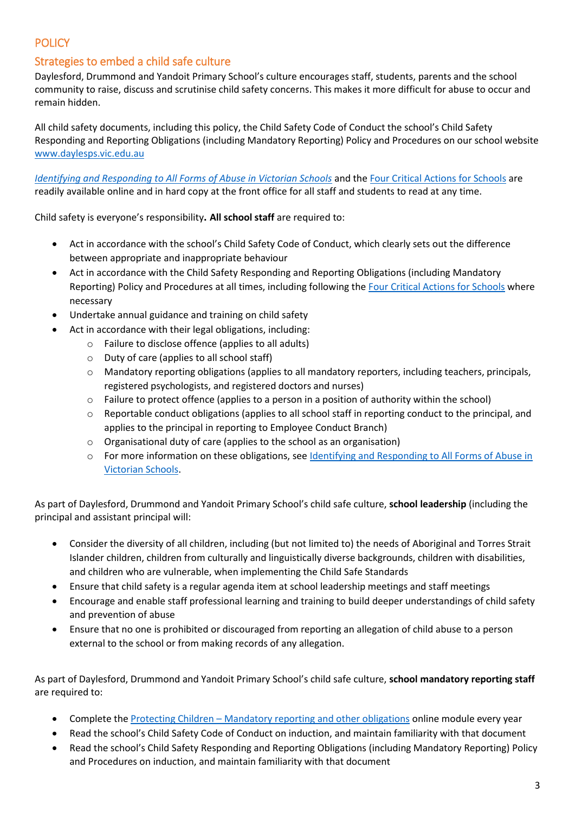## **POLICY**

### Strategies to embed a child safe culture

Daylesford, Drummond and Yandoit Primary School's culture encourages staff, students, parents and the school community to raise, discuss and scrutinise child safety concerns. This makes it more difficult for abuse to occur and remain hidden.

All child safety documents, including this policy, the Child Safety Code of Conduct the school's Child Safety Responding and Reporting Obligations (including Mandatory Reporting) Policy and Procedures on our school website [www.daylesps.vic.edu.au](http://www.daylesps.vic.edu.au/)

*[Identifying and Responding to All Forms of Abuse in Victorian Schools](https://www.education.vic.gov.au/Documents/about/programs/health/protect/ChildSafeStandard5_SchoolsGuide.pdf)* and the [Four Critical Actions for Schools](https://www.education.vic.gov.au/Documents/about/programs/health/protect/FourCriticalActions_ChildAbuse.pdf) are readily available online and in hard copy at the front office for all staff and students to read at any time.

Child safety is everyone's responsibility**. All school staff** are required to:

- Act in accordance with the school's Child Safety Code of Conduct, which clearly sets out the difference between appropriate and inappropriate behaviour
- Act in accordance with the Child Safety Responding and Reporting Obligations (including Mandatory Reporting) Policy and Procedures at all times, including following th[e Four Critical Actions for Schools](https://www.education.vic.gov.au/Documents/about/programs/health/protect/FourCriticalActions_ChildAbuse.pdf) where necessary
- Undertake annual guidance and training on child safety
- Act in accordance with their legal obligations, including:
	- o Failure to disclose offence (applies to all adults)
	- o Duty of care (applies to all school staff)
	- o Mandatory reporting obligations (applies to all mandatory reporters, including teachers, principals, registered psychologists, and registered doctors and nurses)
	- $\circ$  Failure to protect offence (applies to a person in a position of authority within the school)
	- $\circ$  Reportable conduct obligations (applies to all school staff in reporting conduct to the principal, and applies to the principal in reporting to Employee Conduct Branch)
	- o Organisational duty of care (applies to the school as an organisation)
	- o For more information on these obligations, se[e Identifying and Responding to All Forms of Abuse in](https://www.education.vic.gov.au/Documents/about/programs/health/protect/ChildSafeStandard5_SchoolsGuide.pdf)  [Victorian Schools.](https://www.education.vic.gov.au/Documents/about/programs/health/protect/ChildSafeStandard5_SchoolsGuide.pdf)

As part of Daylesford, Drummond and Yandoit Primary School's child safe culture, **school leadership** (including the principal and assistant principal will:

- Consider the diversity of all children, including (but not limited to) the needs of Aboriginal and Torres Strait Islander children, children from culturally and linguistically diverse backgrounds, children with disabilities, and children who are vulnerable, when implementing the Child Safe Standards
- Ensure that child safety is a regular agenda item at school leadership meetings and staff meetings
- Encourage and enable staff professional learning and training to build deeper understandings of child safety and prevention of abuse
- Ensure that no one is prohibited or discouraged from reporting an allegation of child abuse to a person external to the school or from making records of any allegation.

As part of Daylesford, Drummond and Yandoit Primary School's child safe culture, **school mandatory reporting staff** are required to:

- Complete the Protecting Children [Mandatory reporting and other obligations](http://elearn.com.au/det/protectingchildren/) online module every year
- Read the school's Child Safety Code of Conduct on induction, and maintain familiarity with that document
- Read the school's Child Safety Responding and Reporting Obligations (including Mandatory Reporting) Policy and Procedures on induction, and maintain familiarity with that document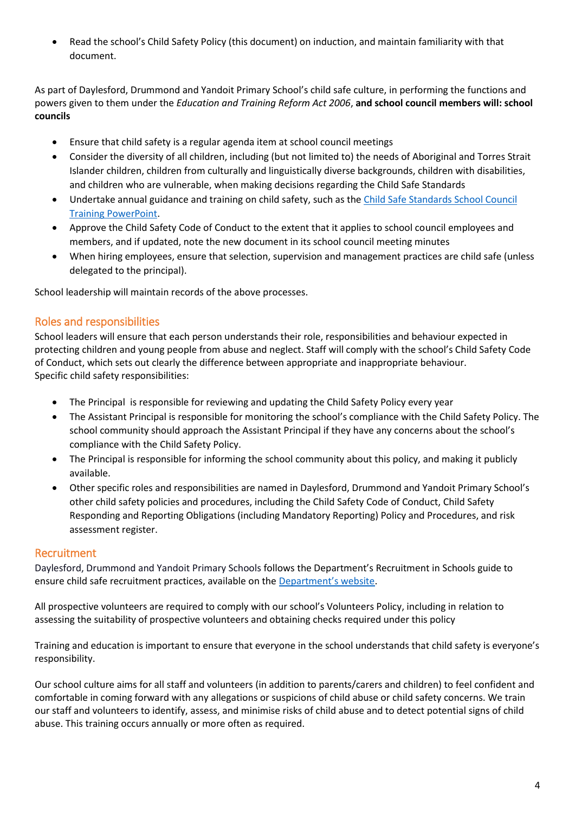Read the school's Child Safety Policy (this document) on induction, and maintain familiarity with that document.

As part of Daylesford, Drummond and Yandoit Primary School's child safe culture, in performing the functions and powers given to them under the *Education and Training Reform Act 2006*, **and school council members will: school councils**

- Ensure that child safety is a regular agenda item at school council meetings
- Consider the diversity of all children, including (but not limited to) the needs of Aboriginal and Torres Strait Islander children, children from culturally and linguistically diverse backgrounds, children with disabilities, and children who are vulnerable, when making decisions regarding the Child Safe Standards
- Undertake annual guidance and training on child safety, such as th[e Child Safe Standards School Council](https://www.education.vic.gov.au/Documents/about/programs/health/protect/school-council-training.pptx)  [Training PowerPoint.](https://www.education.vic.gov.au/Documents/about/programs/health/protect/school-council-training.pptx)
- Approve the Child Safety Code of Conduct to the extent that it applies to school council employees and members, and if updated, note the new document in its school council meeting minutes
- When hiring employees, ensure that selection, supervision and management practices are child safe (unless delegated to the principal).

School leadership will maintain records of the above processes.

### Roles and responsibilities

School leaders will ensure that each person understands their role, responsibilities and behaviour expected in protecting children and young people from abuse and neglect. Staff will comply with the school's Child Safety Code of Conduct, which sets out clearly the difference between appropriate and inappropriate behaviour. Specific child safety responsibilities:

- The Principal is responsible for reviewing and updating the Child Safety Policy every year
- The Assistant Principal is responsible for monitoring the school's compliance with the Child Safety Policy. The school community should approach the Assistant Principal if they have any concerns about the school's compliance with the Child Safety Policy.
- The Principal is responsible for informing the school community about this policy, and making it publicly available.
- Other specific roles and responsibilities are named in Daylesford, Drummond and Yandoit Primary School's other child safety policies and procedures, including the Child Safety Code of Conduct, Child Safety Responding and Reporting Obligations (including Mandatory Reporting) Policy and Procedures, and risk assessment register.

### Recruitment

Daylesford, Drummond and Yandoit Primary Schools follows the Department's Recruitment in Schools guide to ensure child safe recruitment practices, available on the [Department's website](https://www.education.vic.gov.au/hrweb/careers/Pages/recruitinsch.aspx).

All prospective volunteers are required to comply with our school's Volunteers Policy, including in relation to assessing the suitability of prospective volunteers and obtaining checks required under this policy

Training and education is important to ensure that everyone in the school understands that child safety is everyone's responsibility.

Our school culture aims for all staff and volunteers (in addition to parents/carers and children) to feel confident and comfortable in coming forward with any allegations or suspicions of child abuse or child safety concerns. We train our staff and volunteers to identify, assess, and minimise risks of child abuse and to detect potential signs of child abuse. This training occurs annually or more often as required.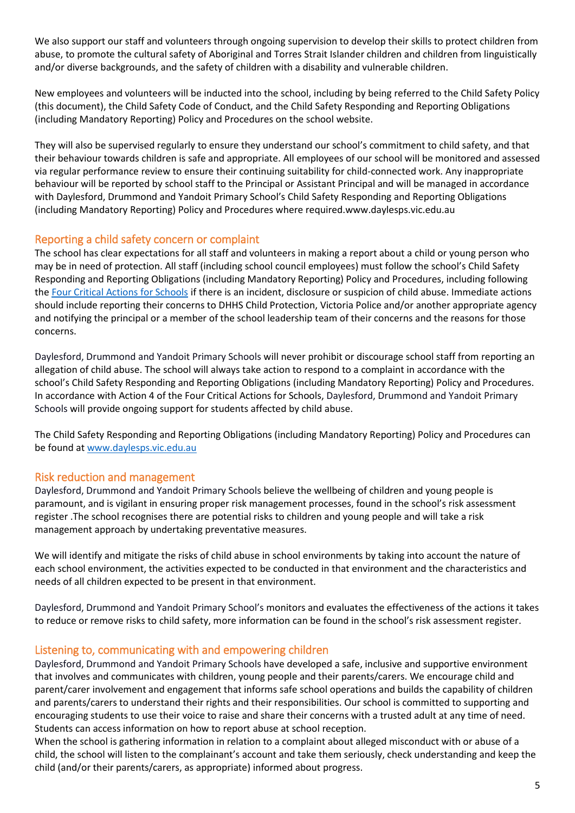We also support our staff and volunteers through ongoing supervision to develop their skills to protect children from abuse, to promote the cultural safety of Aboriginal and Torres Strait Islander children and children from linguistically and/or diverse backgrounds, and the safety of children with a disability and vulnerable children.

New employees and volunteers will be inducted into the school, including by being referred to the Child Safety Policy (this document), the Child Safety Code of Conduct, and the Child Safety Responding and Reporting Obligations (including Mandatory Reporting) Policy and Procedures on the school website.

They will also be supervised regularly to ensure they understand our school's commitment to child safety, and that their behaviour towards children is safe and appropriate. All employees of our school will be monitored and assessed via regular performance review to ensure their continuing suitability for child-connected work. Any inappropriate behaviour will be reported by school staff to the Principal or Assistant Principal and will be managed in accordance with Daylesford, Drummond and Yandoit Primary School's Child Safety Responding and Reporting Obligations (including Mandatory Reporting) Policy and Procedures where required.www.daylesps.vic.edu.au

### Reporting a child safety concern or complaint

The school has clear expectations for all staff and volunteers in making a report about a child or young person who may be in need of protection. All staff (including school council employees) must follow the school's Child Safety Responding and Reporting Obligations (including Mandatory Reporting) Policy and Procedures, including following the [Four Critical Actions for Schools](https://www.education.vic.gov.au/Documents/about/programs/health/protect/FourCriticalActions_ChildAbuse.pdf) if there is an incident, disclosure or suspicion of child abuse. Immediate actions should include reporting their concerns to DHHS Child Protection, Victoria Police and/or another appropriate agency and notifying the principal or a member of the school leadership team of their concerns and the reasons for those concerns.

Daylesford, Drummond and Yandoit Primary Schools will never prohibit or discourage school staff from reporting an allegation of child abuse. The school will always take action to respond to a complaint in accordance with the school's Child Safety Responding and Reporting Obligations (including Mandatory Reporting) Policy and Procedures. In accordance with Action 4 of the Four Critical Actions for Schools, Daylesford, Drummond and Yandoit Primary Schools will provide ongoing support for students affected by child abuse.

The Child Safety Responding and Reporting Obligations (including Mandatory Reporting) Policy and Procedures can be found at [www.daylesps.vic.edu.au](http://www.daylesps.vic.edu.au/)

### Risk reduction and management

Daylesford, Drummond and Yandoit Primary Schools believe the wellbeing of children and young people is paramount, and is vigilant in ensuring proper risk management processes, found in the school's risk assessment register .The school recognises there are potential risks to children and young people and will take a risk management approach by undertaking preventative measures.

We will identify and mitigate the risks of child abuse in school environments by taking into account the nature of each school environment, the activities expected to be conducted in that environment and the characteristics and needs of all children expected to be present in that environment.

Daylesford, Drummond and Yandoit Primary School's monitors and evaluates the effectiveness of the actions it takes to reduce or remove risks to child safety, more information can be found in the school's risk assessment register.

### Listening to, communicating with and empowering children

Daylesford, Drummond and Yandoit Primary Schools have developed a safe, inclusive and supportive environment that involves and communicates with children, young people and their parents/carers. We encourage child and parent/carer involvement and engagement that informs safe school operations and builds the capability of children and parents/carers to understand their rights and their responsibilities. Our school is committed to supporting and encouraging students to use their voice to raise and share their concerns with a trusted adult at any time of need. Students can access information on how to report abuse at school reception.

When the school is gathering information in relation to a complaint about alleged misconduct with or abuse of a child, the school will listen to the complainant's account and take them seriously, check understanding and keep the child (and/or their parents/carers, as appropriate) informed about progress.